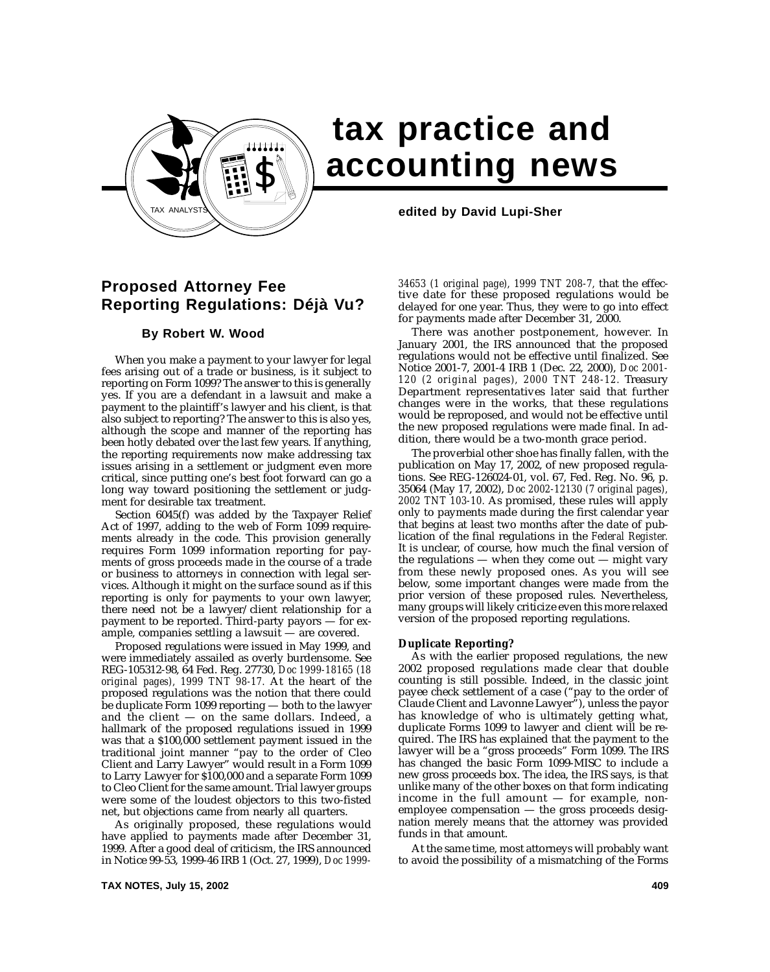

# **tax practice and accounting news**

# **Proposed Attorney Fee Reporting Regulations: Déjà Vu?**

# **By Robert W. Wood**

When you make a payment to your lawyer for legal fees arising out of a trade or business, is it subject to reporting on Form 1099? The answer to this is generally yes. If you are a defendant in a lawsuit and make a payment to the plaintiff's lawyer and his client, is that also subject to reporting? The answer to this is also yes, although the scope and manner of the reporting has been hotly debated over the last few years. If anything, the reporting requirements now make addressing tax issues arising in a settlement or judgment even more critical, since putting one's best foot forward can go a long way toward positioning the settlement or judgment for desirable tax treatment.

Section 6045(f) was added by the Taxpayer Relief Act of 1997, adding to the web of Form 1099 requirements already in the code. This provision generally requires Form 1099 information reporting for payments of gross proceeds made in the course of a trade or business to attorneys in connection with legal services. Although it might on the surface sound as if this reporting is only for payments to your own lawyer, there need not be a lawyer/client relationship for a payment to be reported. Third-party payors — for example, companies settling a lawsuit — are covered.

Proposed regulations were issued in May 1999, and were immediately assailed as overly burdensome. See REG-105312-98, 64 Fed. Reg. 27730, *Doc 1999-18165 (18 original pages), 1999 TNT 98-17.* At the heart of the proposed regulations was the notion that there could be duplicate Form 1099 reporting — both to the lawyer and the client  $-$  on the same dollars. Indeed, a hallmark of the proposed regulations issued in 1999 was that a \$100,000 settlement payment issued in the traditional joint manner "pay to the order of Cleo Client and Larry Lawyer" would result in a Form 1099 to Larry Lawyer for \$100,000 and a separate Form 1099 to Cleo Client for the same amount. Trial lawyer groups were some of the loudest objectors to this two-fisted net, but objections came from nearly all quarters.

As originally proposed, these regulations would have applied to payments made after December 31, 1999. After a good deal of criticism, the IRS announced in Notice 99-53, 1999-46 IRB 1 (Oct. 27, 1999), *Doc 1999-*

*34653 (1 original page), 1999 TNT 208-7,* that the effective date for these proposed regulations would be delayed for one year. Thus, they were to go into effect for payments made after December 31, 2000.

There was another postponement, however. In January 2001, the IRS announced that the proposed regulations would not be effective until finalized. See Notice 2001-7, 2001-4 IRB 1 (Dec. 22, 2000), *Doc 2001- 120 (2 original pages), 2000 TNT 248-12.* Treasury Department representatives later said that further changes were in the works, that these regulations would be reproposed, and would not be effective until the new proposed regulations were made final. In addition, there would be a two-month grace period.

The proverbial other shoe has finally fallen, with the publication on May 17, 2002, of new proposed regulations. See REG-126024-01, vol. 67, Fed. Reg. No. 96, p. 35064 (May 17, 2002), *Doc 2002-12130 (7 original pages), 2002 TNT 103-10.* As promised, these rules will apply only to payments made during the first calendar year that begins at least two months after the date of publication of the final regulations in the *Federal Register.* It is unclear, of course, how much the final version of the regulations  $-$  when they come out  $-$  might vary from these newly proposed ones. As you will see below, some important changes were made from the prior version of these proposed rules. Nevertheless, many groups will likely criticize even this more relaxed version of the proposed reporting regulations.

#### **Duplicate Reporting?**

As with the earlier proposed regulations, the new 2002 proposed regulations made clear that double counting is still possible. Indeed, in the classic joint payee check settlement of a case ("pay to the order of Claude Client and Lavonne Lawyer"), unless the payor has knowledge of who is ultimately getting what, duplicate Forms 1099 to lawyer and client will be required. The IRS has explained that the payment to the lawyer will be a "gross proceeds" Form 1099. The IRS has changed the basic Form 1099-MISC to include a new gross proceeds box. The idea, the IRS says, is that unlike many of the other boxes on that form indicating income in the full amount  $-$  for example, nonemployee compensation — the gross proceeds designation merely means that the attorney was provided funds in that amount.

At the same time, most attorneys will probably want to avoid the possibility of a mismatching of the Forms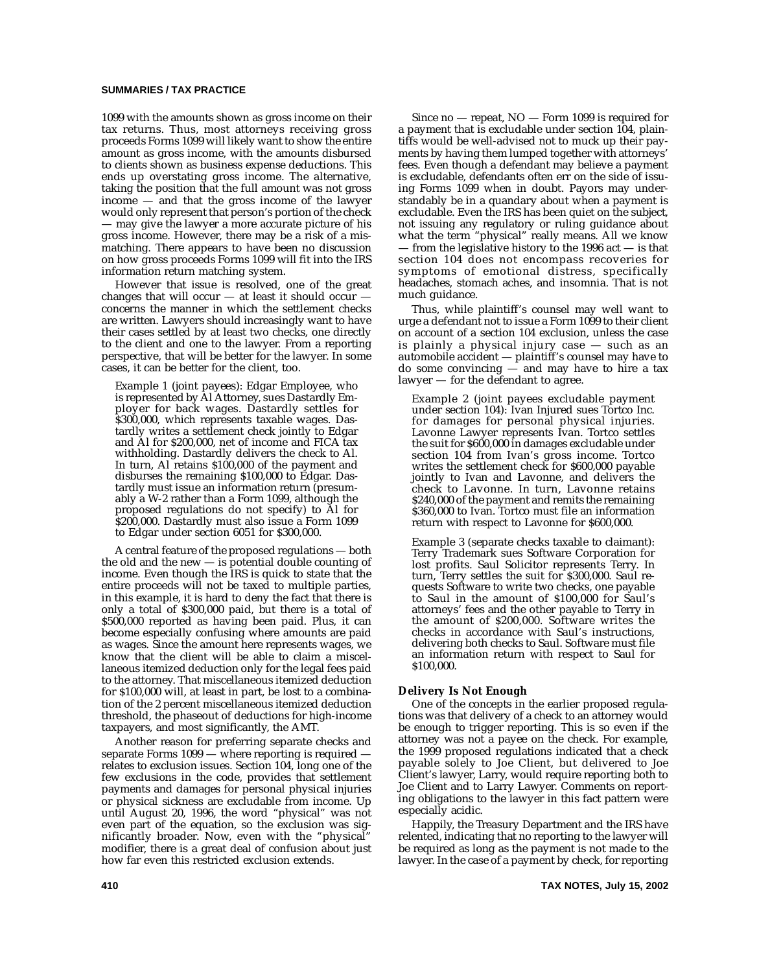## **SUMMARIES / TAX PRACTICE**

1099 with the amounts shown as gross income on their tax returns. Thus, most attorneys receiving gross proceeds Forms 1099 will likely want to show the entire amount as gross income, with the amounts disbursed to clients shown as business expense deductions. This ends up overstating gross income. The alternative, taking the position that the full amount was not gross income — and that the gross income of the lawyer would only represent that person's portion of the check — may give the lawyer a more accurate picture of his gross income. However, there may be a risk of a mismatching. There appears to have been no discussion on how gross proceeds Forms 1099 will fit into the IRS information return matching system.

However that issue is resolved, one of the great changes that will occur  $-$  at least it should occur concerns the manner in which the settlement checks are written. Lawyers should increasingly want to have their cases settled by at least two checks, one directly to the client and one to the lawyer. From a reporting perspective, that will be better for the lawyer. In some cases, it can be better for the client, too.

Example 1 (joint payees): Edgar Employee, who is represented by Al Attorney, sues Dastardly Employer for back wages. Dastardly settles for \$300,000, which represents taxable wages. Dastardly writes a settlement check jointly to Edgar and Al for \$200,000, net of income and FICA tax withholding. Dastardly delivers the check to Al. In turn, Al retains \$100,000 of the payment and disburses the remaining \$100,000 to Edgar. Dastardly must issue an information return (presumably a W-2 rather than a Form 1099, although the proposed regulations do not specify) to Al for \$200,000. Dastardly must also issue a Form 1099 to Edgar under section 6051 for \$300,000.

A central feature of the proposed regulations — both the old and the new — is potential double counting of income. Even though the IRS is quick to state that the entire proceeds will not be taxed to multiple parties, in this example, it is hard to deny the fact that there is only a total of \$300,000 paid, but there is a total of \$500,000 reported as having been paid. Plus, it can become especially confusing where amounts are paid as wages. Since the amount here represents wages, we know that the client will be able to claim a miscellaneous itemized deduction only for the legal fees paid to the attorney. That miscellaneous itemized deduction for \$100,000 will, at least in part, be lost to a combination of the 2 percent miscellaneous itemized deduction threshold, the phaseout of deductions for high-income taxpayers, and most significantly, the AMT.

Another reason for preferring separate checks and separate Forms 1099 — where reporting is required relates to exclusion issues. Section 104, long one of the few exclusions in the code, provides that settlement payments and damages for personal physical injuries or physical sickness are excludable from income. Up until August 20, 1996, the word "physical" was not even part of the equation, so the exclusion was significantly broader. Now, even with the "physical" modifier, there is a great deal of confusion about just how far even this restricted exclusion extends.

Since no — repeat, NO — Form 1099 is required for a payment that is excludable under section 104, plaintiffs would be well-advised not to muck up their payments by having them lumped together with attorneys' fees. Even though a defendant may believe a payment is excludable, defendants often err on the side of issuing Forms 1099 when in doubt. Payors may understandably be in a quandary about when a payment is excludable. Even the IRS has been quiet on the subject, not issuing any regulatory or ruling guidance about what the term "physical" really means. All we know — from the legislative history to the 1996 act — is that section 104 does not encompass recoveries for symptoms of emotional distress, specifically headaches, stomach aches, and insomnia. That is not much guidance.

Thus, while plaintiff's counsel may well want to urge a defendant not to issue a Form 1099 to their client on account of a section 104 exclusion, unless the case is plainly a physical injury case — such as an automobile accident — plaintiff's counsel may have to do some convincing — and may have to hire a tax lawyer — for the defendant to agree.

Example 2 (joint payees excludable payment under section 104): Ivan Injured sues Tortco Inc. for damages for personal physical injuries. Lavonne Lawyer represents Ivan. Tortco settles the suit for \$600,000 in damages excludable under section 104 from Ivan's gross income. Tortco writes the settlement check for \$600,000 payable jointly to Ivan and Lavonne, and delivers the check to Lavonne. In turn, Lavonne retains \$240,000 of the payment and remits the remaining \$360,000 to Ivan. Tortco must file an information return with respect to Lavonne for \$600,000.

Example 3 (separate checks taxable to claimant): Terry Trademark sues Software Corporation for lost profits. Saul Solicitor represents Terry. In turn, Terry settles the suit for \$300,000. Saul requests Software to write two checks, one payable to Saul in the amount of \$100,000 for Saul's attorneys' fees and the other payable to Terry in the amount of \$200,000. Software writes the checks in accordance with Saul's instructions, delivering both checks to Saul. Software must file an information return with respect to Saul for \$100,000.

#### **Delivery Is Not Enough**

One of the concepts in the earlier proposed regulations was that delivery of a check to an attorney would be enough to trigger reporting. This is so even if the attorney was not a payee on the check. For example, the 1999 proposed regulations indicated that a check payable solely to Joe Client, but delivered to Joe Client's lawyer, Larry, would require reporting both to Joe Client and to Larry Lawyer. Comments on reporting obligations to the lawyer in this fact pattern were especially acidic.

Happily, the Treasury Department and the IRS have relented, indicating that no reporting to the lawyer will be required as long as the payment is not made to the lawyer. In the case of a payment by check, for reporting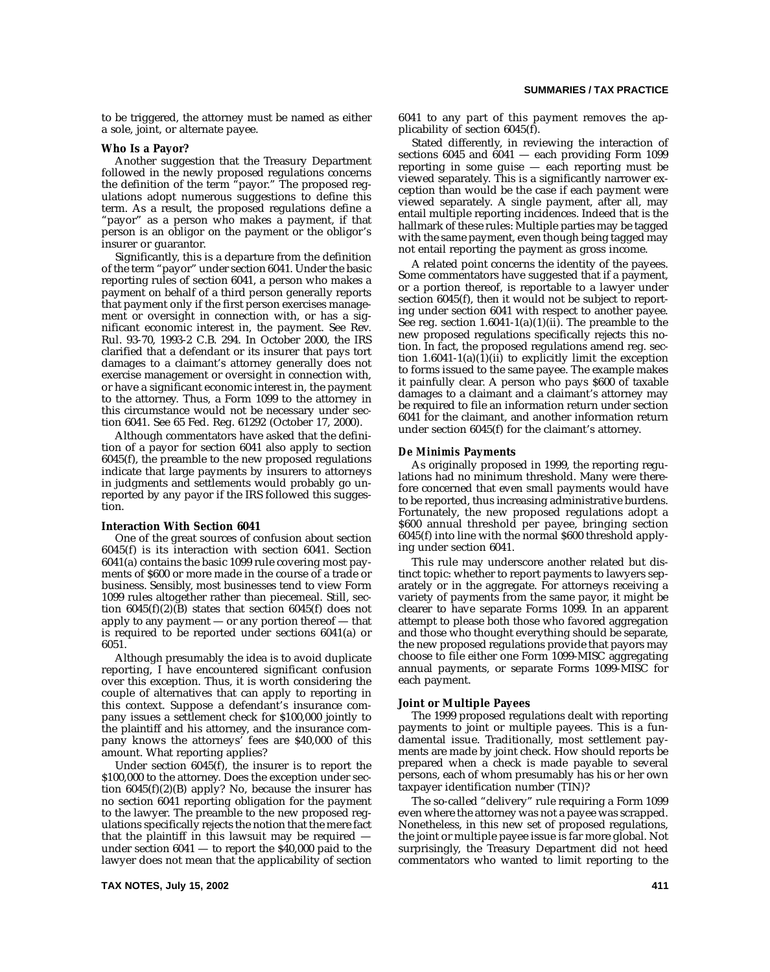to be triggered, the attorney must be named as either a sole, joint, or alternate payee.

#### **Who Is a Payor?**

Another suggestion that the Treasury Department followed in the newly proposed regulations concerns the definition of the term "payor." The proposed regulations adopt numerous suggestions to define this term. As a result, the proposed regulations define a "payor" as a person who makes a payment, if that person is an obligor on the payment or the obligor's insurer or guarantor.

Significantly, this is a departure from the definition of the term "payor" under section 6041. Under the basic reporting rules of section 6041, a person who makes a payment on behalf of a third person generally reports that payment only if the first person exercises management or oversight in connection with, or has a significant economic interest in, the payment. See Rev. Rul. 93-70, 1993-2 C.B. 294. In October 2000, the IRS clarified that a defendant or its insurer that pays tort damages to a claimant's attorney generally does not exercise management or oversight in connection with, or have a significant economic interest in, the payment to the attorney. Thus, a Form 1099 to the attorney in this circumstance would not be necessary under section 6041. See 65 Fed. Reg. 61292 (October 17, 2000).

Although commentators have asked that the definition of a payor for section 6041 also apply to section 6045(f), the preamble to the new proposed regulations indicate that large payments by insurers to attorneys in judgments and settlements would probably go unreported by any payor if the IRS followed this suggestion.

#### **Interaction With Section 6041**

One of the great sources of confusion about section 6045(f) is its interaction with section 6041. Section 6041(a) contains the basic 1099 rule covering most payments of \$600 or more made in the course of a trade or business. Sensibly, most businesses tend to view Form 1099 rules altogether rather than piecemeal. Still, section  $6045(f)(2)(B)$  states that section  $6045(f)$  does not apply to any payment — or any portion thereof — that is required to be reported under sections 6041(a) or 6051.

Although presumably the idea is to avoid duplicate reporting, I have encountered significant confusion over this exception. Thus, it is worth considering the couple of alternatives that can apply to reporting in this context. Suppose a defendant's insurance company issues a settlement check for \$100,000 jointly to the plaintiff and his attorney, and the insurance company knows the attorneys' fees are \$40,000 of this amount. What reporting applies?

Under section 6045(f), the insurer is to report the \$100,000 to the attorney. Does the exception under section  $6045(f)(2)(B)$  apply? No, because the insurer has no section 6041 reporting obligation for the payment to the lawyer. The preamble to the new proposed regulations specifically rejects the notion that the mere fact that the plaintiff in this lawsuit may be required under section  $6041 -$  to report the  $$40,000$  paid to the lawyer does not mean that the applicability of section 6041 to any part of this payment removes the applicability of section 6045(f).

Stated differently, in reviewing the interaction of sections 6045 and 6041 — each providing Form 1099 reporting in some guise — each reporting must be viewed separately. This is a significantly narrower exception than would be the case if each payment were viewed separately. A single payment, after all, may entail multiple reporting incidences. Indeed that is the hallmark of these rules: Multiple parties may be tagged with the same payment, even though being tagged may not entail reporting the payment as gross income.

A related point concerns the identity of the payees. Some commentators have suggested that if a payment, or a portion thereof, is reportable to a lawyer under section 6045(f), then it would not be subject to reporting under section 6041 with respect to another payee. See reg. section  $1.6041-1(a)(1)(ii)$ . The preamble to the new proposed regulations specifically rejects this notion. In fact, the proposed regulations amend reg. section  $1.6041-1(a)(1)(ii)$  to explicitly limit the exception to forms issued to the same payee. The example makes it painfully clear. A person who pays \$600 of taxable damages to a claimant and a claimant's attorney may be required to file an information return under section 6041 for the claimant, and another information return under section 6045(f) for the claimant's attorney.

#### *De Minimis* **Payments**

As originally proposed in 1999, the reporting regulations had no minimum threshold. Many were therefore concerned that even small payments would have to be reported, thus increasing administrative burdens. Fortunately, the new proposed regulations adopt a \$600 annual threshold per payee, bringing section 6045(f) into line with the normal \$600 threshold applying under section 6041.

This rule may underscore another related but distinct topic: whether to report payments to lawyers separately or in the aggregate. For attorneys receiving a variety of payments from the same payor, it might be clearer to have separate Forms 1099. In an apparent attempt to please both those who favored aggregation and those who thought everything should be separate, the new proposed regulations provide that payors may choose to file either one Form 1099-MISC aggregating annual payments, or separate Forms 1099-MISC for each payment.

#### **Joint or Multiple Payees**

The 1999 proposed regulations dealt with reporting payments to joint or multiple payees. This is a fundamental issue. Traditionally, most settlement payments are made by joint check. How should reports be prepared when a check is made payable to several persons, each of whom presumably has his or her own taxpayer identification number (TIN)?

The so-called "delivery" rule requiring a Form 1099 even where the attorney was not a payee was scrapped. Nonetheless, in this new set of proposed regulations, the joint or multiple payee issue is far more global. Not surprisingly, the Treasury Department did not heed commentators who wanted to limit reporting to the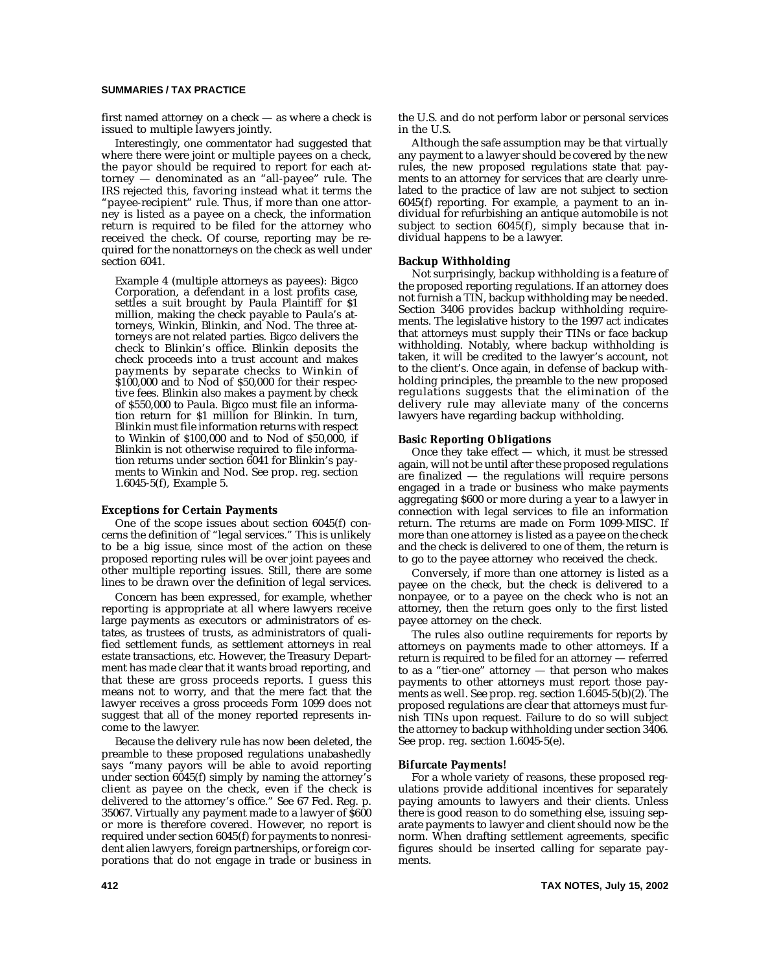## **SUMMARIES / TAX PRACTICE**

first named attorney on a check — as where a check is issued to multiple lawyers jointly.

Interestingly, one commentator had suggested that where there were joint or multiple payees on a check, the payor should be required to report for each at $t \text{ or } t$  — denominated as an "all-payee" rule. The IRS rejected this, favoring instead what it terms the "payee-recipient" rule. Thus, if more than one attorney is listed as a payee on a check, the information return is required to be filed for the attorney who received the check. Of course, reporting may be required for the nonattorneys on the check as well under section 6041.

Example 4 (multiple attorneys as payees): Bigco Corporation, a defendant in a lost profits case, settles a suit brought by Paula Plaintiff for \$1 million, making the check payable to Paula's attorneys, Winkin, Blinkin, and Nod. The three attorneys are not related parties. Bigco delivers the check to Blinkin's office. Blinkin deposits the check proceeds into a trust account and makes payments by separate checks to Winkin of \$100,000 and to Nod of \$50,000 for their respective fees. Blinkin also makes a payment by check of \$550,000 to Paula. Bigco must file an information return for \$1 million for Blinkin. In turn, Blinkin must file information returns with respect to Winkin of \$100,000 and to Nod of \$50,000, if Blinkin is not otherwise required to file information returns under section 6041 for Blinkin's payments to Winkin and Nod. See prop. reg. section 1.6045-5(f), Example 5.

#### **Exceptions for Certain Payments**

One of the scope issues about section 6045(f) concerns the definition of "legal services." This is unlikely to be a big issue, since most of the action on these proposed reporting rules will be over joint payees and other multiple reporting issues. Still, there are some lines to be drawn over the definition of legal services.

Concern has been expressed, for example, whether reporting is appropriate at all where lawyers receive large payments as executors or administrators of estates, as trustees of trusts, as administrators of qualified settlement funds, as settlement attorneys in real estate transactions, etc. However, the Treasury Department has made clear that it wants broad reporting, and that these are gross proceeds reports. I guess this means not to worry, and that the mere fact that the lawyer receives a gross proceeds Form 1099 does not suggest that all of the money reported represents income to the lawyer.

Because the delivery rule has now been deleted, the preamble to these proposed regulations unabashedly says "many payors will be able to avoid reporting under section 6045(f) simply by naming the attorney's client as payee on the check, even if the check is delivered to the attorney's office." See 67 Fed. Reg. p. 35067. Virtually any payment made to a lawyer of \$600 or more is therefore covered. However, no report is required under section 6045(f) for payments to nonresident alien lawyers, foreign partnerships, or foreign corporations that do not engage in trade or business in the U.S. and do not perform labor or personal services in the U.S.

Although the safe assumption may be that virtually any payment to a lawyer should be covered by the new rules, the new proposed regulations state that payments to an attorney for services that are clearly unrelated to the practice of law are not subject to section 6045(f) reporting. For example, a payment to an individual for refurbishing an antique automobile is not subject to section 6045(f), simply because that individual happens to be a lawyer.

#### **Backup Withholding**

Not surprisingly, backup withholding is a feature of the proposed reporting regulations. If an attorney does not furnish a TIN, backup withholding may be needed. Section 3406 provides backup withholding requirements. The legislative history to the 1997 act indicates that attorneys must supply their TINs or face backup withholding. Notably, where backup withholding is taken, it will be credited to the lawyer's account, not to the client's. Once again, in defense of backup withholding principles, the preamble to the new proposed regulations suggests that the elimination of the delivery rule may alleviate many of the concerns lawyers have regarding backup withholding.

#### **Basic Reporting Obligations**

Once they take effect — which, it must be stressed again, will not be until after these proposed regulations are finalized — the regulations will require persons engaged in a trade or business who make payments aggregating \$600 or more during a year to a lawyer in connection with legal services to file an information return. The returns are made on Form 1099-MISC. If more than one attorney is listed as a payee on the check and the check is delivered to one of them, the return is to go to the payee attorney who received the check.

Conversely, if more than one attorney is listed as a payee on the check, but the check is delivered to a nonpayee, or to a payee on the check who is not an attorney, then the return goes only to the first listed payee attorney on the check.

The rules also outline requirements for reports by attorneys on payments made to other attorneys. If a return is required to be filed for an attorney — referred to as a "tier-one" attorney — that person who makes payments to other attorneys must report those payments as well. See prop. reg. section 1.6045-5(b)(2). The proposed regulations are clear that attorneys must furnish TINs upon request. Failure to do so will subject the attorney to backup withholding under section 3406. See prop. reg. section 1.6045-5(e).

#### **Bifurcate Payments!**

For a whole variety of reasons, these proposed regulations provide additional incentives for separately paying amounts to lawyers and their clients. Unless there is good reason to do something else, issuing separate payments to lawyer and client should now be the norm. When drafting settlement agreements, specific figures should be inserted calling for separate payments.